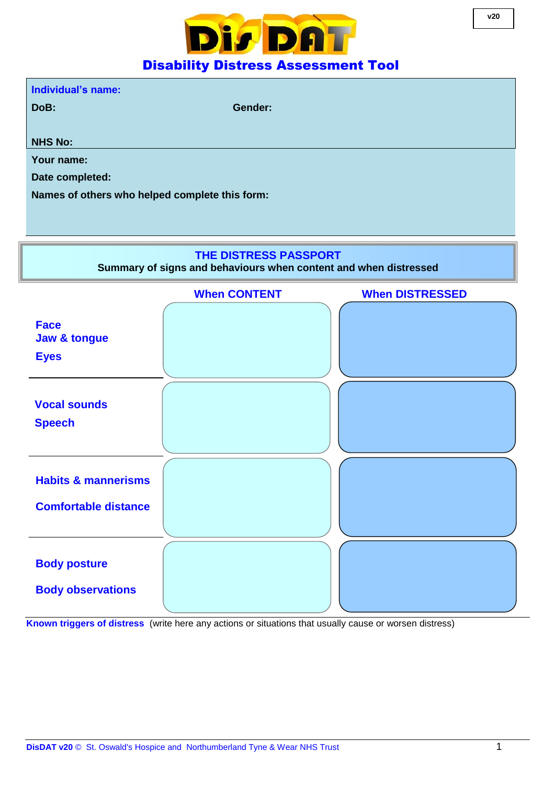

**DoB: Gender:**

**NHS No:**

**Your name:**

**Date completed:**

**Names of others who helped complete this form:**

## **THE DISTRESS PASSPORT**

**Summary of signs and behaviours when content and when distressed**



**Known triggers of distress** (write here any actions or situations that usually cause or worsen distress)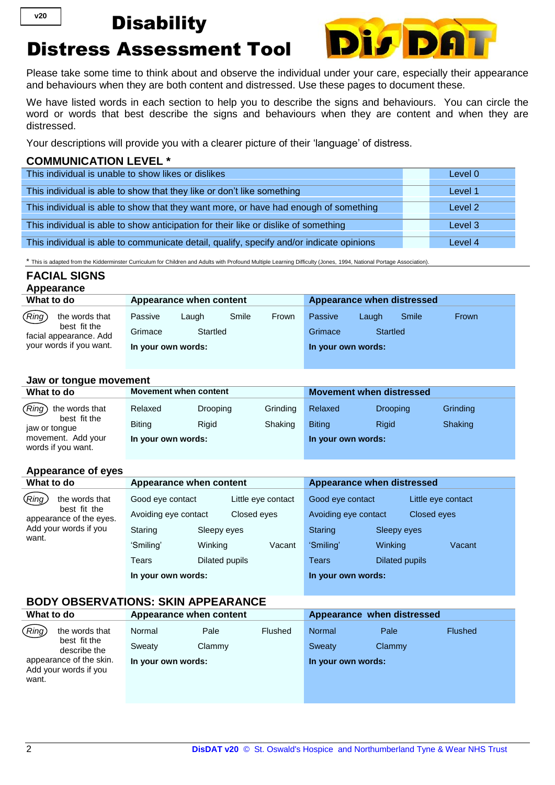## **Disability**

# Distress Assessment Tool



Please take some time to think about and observe the individual under your care, especially their appearance and behaviours when they are both content and distressed. Use these pages to document these.

We have listed words in each section to help you to describe the signs and behaviours. You can circle the word or words that best describe the signs and behaviours when they are content and when they are distressed.

Your descriptions will provide you with a clearer picture of their 'language' of distress.

#### **COMMUNICATION LEVEL \***

| This individual is unable to show likes or dislikes                                      | Level 0 |
|------------------------------------------------------------------------------------------|---------|
| This individual is able to show that they like or don't like something                   | Level 1 |
|                                                                                          |         |
| This individual is able to show that they want more, or have had enough of something     | Level 2 |
| This individual is able to show anticipation for their like or dislike of something      | Level 3 |
| This individual is able to communicate detail, qualify, specify and/or indicate opinions | Level 4 |

\* This is adapted from the Kidderminster Curriculum for Children and Adults with Profound Multiple Learning Difficulty (Jones, 1994, National Portage Association).

### **FACIAL SIGNS Appearance**

**v20**

| What to do                             | Appearance when content |          |       | Appearance when distressed |          |       |       |
|----------------------------------------|-------------------------|----------|-------|----------------------------|----------|-------|-------|
| (Ring)<br>the words that               | Passive<br>Laugh        | Smile    | Frown | Passive                    | Laugh    | Smile | Frown |
| best fit the<br>facial appearance. Add | Grimace                 | Startled |       | Grimace                    | Startled |       |       |
| your words if you want.                | In your own words:      |          |       | In your own words:         |          |       |       |

#### **Jaw or tongue movement**

| What to do                               | <b>Movement when content</b> |                 |          | <b>Movement when distressed</b> |                 |          |
|------------------------------------------|------------------------------|-----------------|----------|---------------------------------|-----------------|----------|
| (Ring) the words that                    | Relaxed                      | <b>Drooping</b> | Grinding | Relaxed                         | <b>Drooping</b> | Grinding |
| best fit the<br>jaw or tongue            | <b>Biting</b>                | Rigid           | Shaking  | <b>Biting</b>                   | Rigid           | Shaking  |
| movement. Add your<br>words if you want. | In your own words:           |                 |          | In your own words:              |                 |          |

#### **Appearance of eyes**

| What to do                              | Appearance when content             |                |                      | Appearance when distressed |                       |                    |
|-----------------------------------------|-------------------------------------|----------------|----------------------|----------------------------|-----------------------|--------------------|
| (Ring)<br>the words that                | Good eye contact                    |                | Little eye contact   | Good eye contact           |                       | Little eye contact |
| best fit the<br>appearance of the eyes. | Closed eyes<br>Avoiding eye contact |                | Avoiding eye contact |                            | Closed eyes           |                    |
| Add your words if you                   | Staring                             | Sleepy eyes    |                      | Staring                    | Sleepy eyes           |                    |
| want.                                   | 'Smiling'                           | Winking        | Vacant               | 'Smiling'                  | Winking               | Vacant             |
|                                         | Tears                               | Dilated pupils |                      | <b>Tears</b>               | <b>Dilated pupils</b> |                    |
|                                         | In your own words:                  |                |                      | In your own words:         |                       |                    |

### **BODY OBSERVATIONS: SKIN APPEARANCE**

| What to do                                                                |                              | Appearance when content |         |                              | Appearance when distressed |                |  |
|---------------------------------------------------------------------------|------------------------------|-------------------------|---------|------------------------------|----------------------------|----------------|--|
| (Ring<br>the words that<br>best fit the                                   | Normal                       | Pale                    | Flushed | Normal                       | Pale                       | <b>Flushed</b> |  |
| describe the<br>appearance of the skin.<br>Add your words if you<br>want. | Sweaty<br>In your own words: | Clammy                  |         | Sweaty<br>In your own words: | Clammy                     |                |  |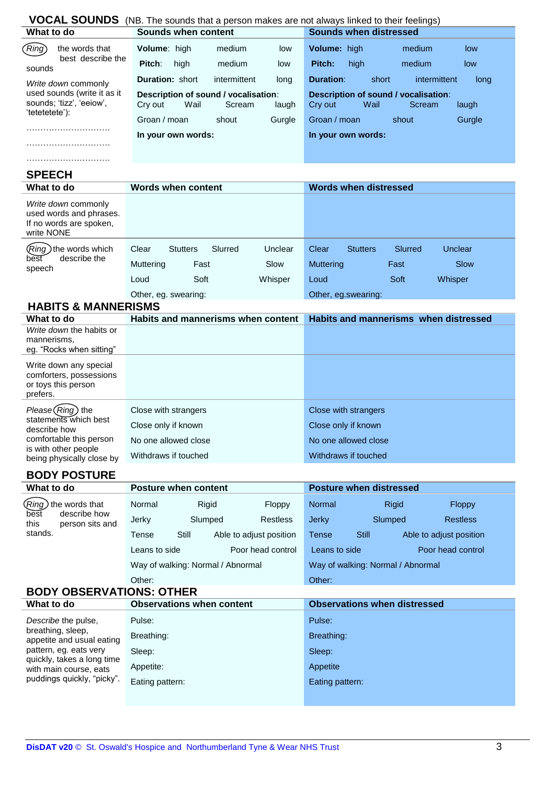| VOCAL SOUNDS (NB. The sounds that a person makes are not always linked to their feelings) |                                                                            |                                                                            |  |  |  |
|-------------------------------------------------------------------------------------------|----------------------------------------------------------------------------|----------------------------------------------------------------------------|--|--|--|
| What to do                                                                                | <b>Sounds when content</b>                                                 | <b>Sounds when distressed</b>                                              |  |  |  |
| (Ring<br>the words that                                                                   | Volume: high<br>medium<br>low                                              | Volume: high<br>medium<br>low                                              |  |  |  |
| best describe the<br>sounds                                                               | Pitch:<br>medium<br>high<br>low                                            | Pitch:<br>high<br>medium<br>low                                            |  |  |  |
| Write down commonly                                                                       | <b>Duration: short</b><br>intermittent<br>long                             | <b>Duration:</b><br>short<br>intermittent<br>long                          |  |  |  |
| used sounds (write it as it<br>sounds; 'tizz', 'eeiow',<br>'tetetetete'):                 | Description of sound / vocalisation:<br>Wail<br>Cry out<br>Scream<br>laugh | Description of sound / vocalisation:<br>Cry out<br>Wail<br>Scream<br>laugh |  |  |  |
|                                                                                           | Groan / moan<br>shout<br>Gurgle                                            | Groan / moan<br>Gurgle<br>shout                                            |  |  |  |
|                                                                                           | In your own words:                                                         | In your own words:                                                         |  |  |  |
|                                                                                           |                                                                            |                                                                            |  |  |  |
|                                                                                           |                                                                            |                                                                            |  |  |  |
| <b>SPEECH</b>                                                                             |                                                                            |                                                                            |  |  |  |
| What to do                                                                                | <b>Words when content</b>                                                  | <b>Words when distressed</b>                                               |  |  |  |
| Write down commonly<br>used words and phrases.<br>If no words are spoken,<br>write NONE   |                                                                            |                                                                            |  |  |  |
| Ring) the words which                                                                     | Slurred<br>Clear<br><b>Stutters</b><br>Unclear                             | Clear<br><b>Stutters</b><br>Slurred<br>Unclear                             |  |  |  |
| describe the<br>best<br>speech                                                            | Muttering<br>Slow<br>Fast                                                  | <b>Muttering</b><br>Slow<br>Fast                                           |  |  |  |
|                                                                                           | Soft<br>Whisper<br>Loud                                                    | Loud<br>Soft<br>Whisper                                                    |  |  |  |
|                                                                                           | Other, eg. swearing:                                                       | Other, eg.swearing:                                                        |  |  |  |
| <b>HABITS &amp; MANNERISMS</b>                                                            |                                                                            |                                                                            |  |  |  |
| What to do                                                                                | Habits and mannerisms when content                                         | Habits and mannerisms when distressed                                      |  |  |  |
| Write down the habits or<br>mannerisms,<br>eg. "Rocks when sitting"                       |                                                                            |                                                                            |  |  |  |
| Write down any special<br>comforters, possessions<br>or toys this person<br>prefers.      |                                                                            |                                                                            |  |  |  |
| Please (Ring) the                                                                         | Close with strangers                                                       | Close with strangers                                                       |  |  |  |
| statements which best<br>describe how                                                     | Close only if known                                                        | Close only if known                                                        |  |  |  |
| comfortable this person                                                                   | No one allowed close                                                       | No one allowed close                                                       |  |  |  |
| is with other people<br>being physically close by                                         | Withdraws if touched                                                       | Withdraws if touched                                                       |  |  |  |
|                                                                                           |                                                                            |                                                                            |  |  |  |
| <b>BODY POSTURE</b><br>What to do                                                         | <b>Posture when content</b>                                                | <b>Posture when distressed</b>                                             |  |  |  |
| Ring) the words that                                                                      | Normal                                                                     | Normal                                                                     |  |  |  |
| describe how<br>best                                                                      | Rigid<br>Floppy                                                            | <b>Rigid</b><br>Floppy                                                     |  |  |  |
| this<br>person sits and<br>stands.                                                        | Slumped<br><b>Restless</b><br>Jerky                                        | <b>Jerky</b><br>Slumped<br><b>Restless</b>                                 |  |  |  |
|                                                                                           | Still<br><b>Tense</b><br>Able to adjust position                           | <b>Still</b><br>Able to adjust position<br><b>Tense</b>                    |  |  |  |
|                                                                                           | Poor head control<br>Leans to side                                         | Poor head control<br>Leans to side                                         |  |  |  |
|                                                                                           | Way of walking: Normal / Abnormal                                          | Way of walking: Normal / Abnormal                                          |  |  |  |
|                                                                                           | Other:                                                                     | Other:                                                                     |  |  |  |
| <b>BODY OBSERVATIONS: OTHER</b><br>What to do                                             | <b>Observations when content</b>                                           | <b>Observations when distressed</b>                                        |  |  |  |
|                                                                                           |                                                                            |                                                                            |  |  |  |
| Describe the pulse,<br>breathing, sleep,                                                  | Pulse:                                                                     | Pulse:                                                                     |  |  |  |
| appetite and usual eating                                                                 | Breathing:                                                                 | Breathing:                                                                 |  |  |  |
| pattern, eg. eats very<br>quickly, takes a long time                                      | Sleep:                                                                     | Sleep:                                                                     |  |  |  |
| with main course, eats                                                                    | Appetite:                                                                  | Appetite                                                                   |  |  |  |
| puddings quickly, "picky".                                                                | Eating pattern:                                                            | Eating pattern:                                                            |  |  |  |
|                                                                                           |                                                                            |                                                                            |  |  |  |